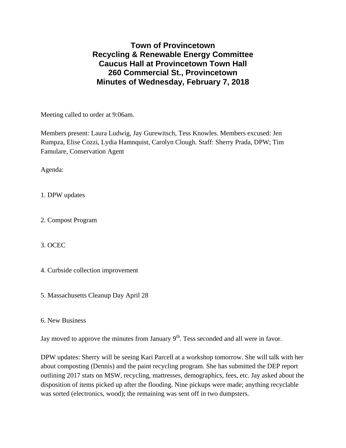**Town of Provincetown Recycling & Renewable Energy Committee Caucus Hall at Provincetown Town Hall 260 Commercial St., Provincetown Minutes of Wednesday, February 7, 2018** 

Meeting called to order at 9:06am.

Members present: Laura Ludwig, Jay Gurewitsch, Tess Knowles. Members excused: Jen Rumpza, Elise Cozzi, Lydia Hamnquist, Carolyn Clough. Staff: Sherry Prada, DPW; Tim Famulare, Conservation Agent

Agenda:

1. DPW updates

2. Compost Program

3. OCEC

4. Curbside collection improvement

5. Massachusetts Cleanup Day April 28

6. New Business

Jay moved to approve the minutes from January  $9<sup>th</sup>$ . Tess seconded and all were in favor.

DPW updates: Sherry will be seeing Kari Parcell at a workshop tomorrow. She will talk with her about composting (Dennis) and the paint recycling program. She has submitted the DEP report outlining 2017 stats on MSW, recycling, mattresses, demographics, fees, etc. Jay asked about the disposition of items picked up after the flooding. Nine pickups were made; anything recyclable was sorted (electronics, wood); the remaining was sent off in two dumpsters.